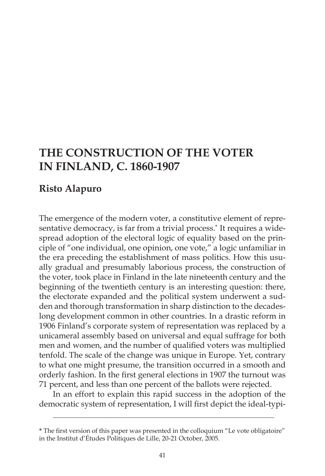# **THE CONSTRUCTION OF THE VOTER IN FINLAND, C. 1860-1907**

# **Risto Alapuro**

The emergence of the modern voter, a constitutive element of representative democracy, is far from a trivial process.**\*** It requires a widespread adoption of the electoral logic of equality based on the principle of "one individual, one opinion, one vote," a logic unfamiliar in the era preceding the establishment of mass politics. How this usually gradual and presumably laborious process, the construction of the voter, took place in Finland in the late nineteenth century and the beginning of the twentieth century is an interesting question: there, the electorate expanded and the political system underwent a sudden and thorough transformation in sharp distinction to the decadeslong development common in other countries. In a drastic reform in 1906 Finland's corporate system of representation was replaced by a unicameral assembly based on universal and equal suffrage for both men and women, and the number of qualified voters was multiplied tenfold. The scale of the change was unique in Europe. Yet, contrary to what one might presume, the transition occurred in a smooth and orderly fashion. In the first general elections in 1907 the turnout was 71 percent, and less than one percent of the ballots were rejected.

In an effort to explain this rapid success in the adoption of the democratic system of representation, I will first depict the ideal-typi-

\_\_\_\_\_\_\_\_\_\_\_\_\_\_\_\_\_\_\_\_\_\_\_\_\_\_\_\_\_\_\_\_\_\_\_\_\_\_\_\_\_\_\_\_\_\_\_\_\_\_\_\_\_\_\_\_\_\_\_\_\_\_\_\_\_\_\_\_

**<sup>\*</sup>** The first version of this paper was presented in the colloquium "Le vote obligatoire" in the Institut d'Études Politiques de Lille, 20-21 October, 2005.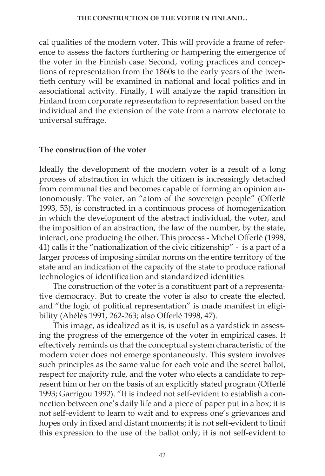cal qualities of the modern voter. This will provide a frame of reference to assess the factors furthering or hampering the emergence of the voter in the Finnish case. Second, voting practices and conceptions of representation from the 1860s to the early years of the twentieth century will be examined in national and local politics and in associational activity. Finally, I will analyze the rapid transition in Finland from corporate representation to representation based on the individual and the extension of the vote from a narrow electorate to universal suffrage.

# **The construction of the voter**

Ideally the development of the modern voter is a result of a long process of abstraction in which the citizen is increasingly detached from communal ties and becomes capable of forming an opinion autonomously. The voter, an "atom of the sovereign people" (Offerlé 1993, 53), is constructed in a continuous process of homogenization in which the development of the abstract individual, the voter, and the imposition of an abstraction, the law of the number, by the state, interact, one producing the other. This process - Michel Offerlé (1998, 41) calls it the "nationalization of the civic citizenship" - is a part of a larger process of imposing similar norms on the entire territory of the state and an indication of the capacity of the state to produce rational technologies of identification and standardized identities.

The construction of the voter is a constituent part of a representative democracy. But to create the voter is also to create the elected, and "the logic of political representation" is made manifest in eligibility (Abélès 1991, 262-263; also Offerlé 1998, 47).

This image, as idealized as it is, is useful as a yardstick in assessing the progress of the emergence of the voter in empirical cases. It effectively reminds us that the conceptual system characteristic of the modern voter does not emerge spontaneously. This system involves such principles as the same value for each vote and the secret ballot, respect for majority rule, and the voter who elects a candidate to represent him or her on the basis of an explicitly stated program (Offerlé 1993; Garrigou 1992). "It is indeed not self-evident to establish a connection between one's daily life and a piece of paper put in a box; it is not self-evident to learn to wait and to express one's grievances and hopes only in fixed and distant moments; it is not self-evident to limit this expression to the use of the ballot only; it is not self-evident to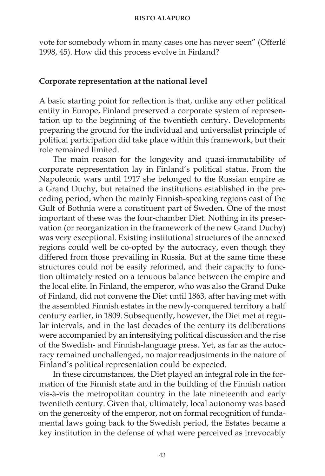vote for somebody whom in many cases one has never seen" (Offerlé 1998, 45). How did this process evolve in Finland?

# **Corporate representation at the national level**

A basic starting point for reflection is that, unlike any other political entity in Europe, Finland preserved a corporate system of representation up to the beginning of the twentieth century. Developments preparing the ground for the individual and universalist principle of political participation did take place within this framework, but their role remained limited.

The main reason for the longevity and quasi-immutability of corporate representation lay in Finland's political status. From the Napoleonic wars until 1917 she belonged to the Russian empire as a Grand Duchy, but retained the institutions established in the preceding period, when the mainly Finnish-speaking regions east of the Gulf of Bothnia were a constituent part of Sweden. One of the most important of these was the four-chamber Diet. Nothing in its preservation (or reorganization in the framework of the new Grand Duchy) was very exceptional. Existing institutional structures of the annexed regions could well be co-opted by the autocracy, even though they differed from those prevailing in Russia. But at the same time these structures could not be easily reformed, and their capacity to function ultimately rested on a tenuous balance between the empire and the local elite. In Finland, the emperor, who was also the Grand Duke of Finland, did not convene the Diet until 1863, after having met with the assembled Finnish estates in the newly-conquered territory a half century earlier, in 1809. Subsequently, however, the Diet met at regular intervals, and in the last decades of the century its deliberations were accompanied by an intensifying political discussion and the rise of the Swedish- and Finnish-language press. Yet, as far as the autocracy remained unchallenged, no major readjustments in the nature of Finland's political representation could be expected.

In these circumstances, the Diet played an integral role in the formation of the Finnish state and in the building of the Finnish nation vis-à-vis the metropolitan country in the late nineteenth and early twentieth century. Given that, ultimately, local autonomy was based on the generosity of the emperor, not on formal recognition of fundamental laws going back to the Swedish period, the Estates became a key institution in the defense of what were perceived as irrevocably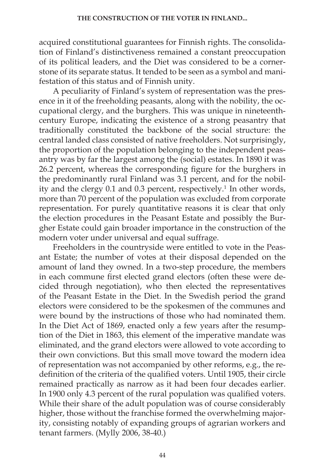acquired constitutional guarantees for Finnish rights. The consolidation of Finland's distinctiveness remained a constant preoccupation of its political leaders, and the Diet was considered to be a cornerstone of its separate status. It tended to be seen as a symbol and manifestation of this status and of Finnish unity.

A peculiarity of Finland's system of representation was the presence in it of the freeholding peasants, along with the nobility, the occupational clergy, and the burghers. This was unique in nineteenthcentury Europe, indicating the existence of a strong peasantry that traditionally constituted the backbone of the social structure: the central landed class consisted of native freeholders. Not surprisingly, the proportion of the population belonging to the independent peasantry was by far the largest among the (social) estates. In 1890 it was 26.2 percent, whereas the corresponding figure for the burghers in the predominantly rural Finland was 3.1 percent, and for the nobility and the clergy 0.1 and 0.3 percent, respectively.<sup>1</sup> In other words, more than 70 percent of the population was excluded from corporate representation. For purely quantitative reasons it is clear that only the election procedures in the Peasant Estate and possibly the Burgher Estate could gain broader importance in the construction of the modern voter under universal and equal suffrage.

Freeholders in the countryside were entitled to vote in the Peasant Estate; the number of votes at their disposal depended on the amount of land they owned. In a two-step procedure, the members in each commune first elected grand electors (often these were decided through negotiation), who then elected the representatives of the Peasant Estate in the Diet. In the Swedish period the grand electors were considered to be the spokesmen of the communes and were bound by the instructions of those who had nominated them. In the Diet Act of 1869, enacted only a few years after the resumption of the Diet in 1863, this element of the imperative mandate was eliminated, and the grand electors were allowed to vote according to their own convictions. But this small move toward the modern idea of representation was not accompanied by other reforms, e.g., the redefinition of the criteria of the qualified voters. Until 1905, their circle remained practically as narrow as it had been four decades earlier. In 1900 only 4.3 percent of the rural population was qualified voters. While their share of the adult population was of course considerably higher, those without the franchise formed the overwhelming majority, consisting notably of expanding groups of agrarian workers and tenant farmers. (Mylly 2006, 38-40.)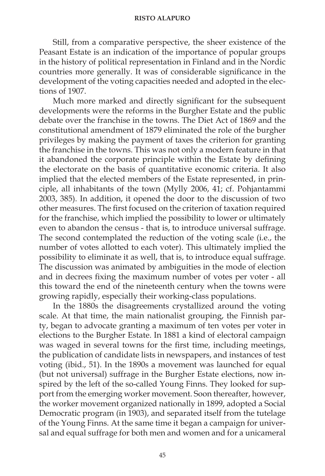Still, from a comparative perspective, the sheer existence of the Peasant Estate is an indication of the importance of popular groups in the history of political representation in Finland and in the Nordic countries more generally. It was of considerable significance in the development of the voting capacities needed and adopted in the elections of 1907.

Much more marked and directly significant for the subsequent developments were the reforms in the Burgher Estate and the public debate over the franchise in the towns. The Diet Act of 1869 and the constitutional amendment of 1879 eliminated the role of the burgher privileges by making the payment of taxes the criterion for granting the franchise in the towns. This was not only a modern feature in that it abandoned the corporate principle within the Estate by defining the electorate on the basis of quantitative economic criteria. It also implied that the elected members of the Estate represented, in principle, all inhabitants of the town (Mylly 2006, 41; cf. Pohjantammi 2003, 385). In addition, it opened the door to the discussion of two other measures. The first focused on the criterion of taxation required for the franchise, which implied the possibility to lower or ultimately even to abandon the census - that is, to introduce universal suffrage. The second contemplated the reduction of the voting scale (i.e., the number of votes allotted to each voter). This ultimately implied the possibility to eliminate it as well, that is, to introduce equal suffrage. The discussion was animated by ambiguities in the mode of election and in decrees fixing the maximum number of votes per voter - all this toward the end of the nineteenth century when the towns were growing rapidly, especially their working-class populations.

In the 1880s the disagreements crystallized around the voting scale. At that time, the main nationalist grouping, the Finnish party, began to advocate granting a maximum of ten votes per voter in elections to the Burgher Estate. In 1881 a kind of electoral campaign was waged in several towns for the first time, including meetings, the publication of candidate lists in newspapers, and instances of test voting (ibid., 51). In the 1890s a movement was launched for equal (but not universal) suffrage in the Burgher Estate elections, now inspired by the left of the so-called Young Finns. They looked for support from the emerging worker movement. Soon thereafter, however, the worker movement organized nationally in 1899, adopted a Social Democratic program (in 1903), and separated itself from the tutelage of the Young Finns. At the same time it began a campaign for universal and equal suffrage for both men and women and for a unicameral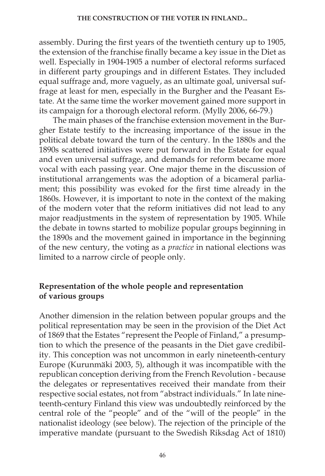assembly. During the first years of the twentieth century up to 1905, the extension of the franchise finally became a key issue in the Diet as well. Especially in 1904-1905 a number of electoral reforms surfaced in different party groupings and in different Estates. They included equal suffrage and, more vaguely, as an ultimate goal, universal suffrage at least for men, especially in the Burgher and the Peasant Estate. At the same time the worker movement gained more support in its campaign for a thorough electoral reform. (Mylly 2006, 66-79.)

The main phases of the franchise extension movement in the Burgher Estate testify to the increasing importance of the issue in the political debate toward the turn of the century. In the 1880s and the 1890s scattered initiatives were put forward in the Estate for equal and even universal suffrage, and demands for reform became more vocal with each passing year. One major theme in the discussion of institutional arrangements was the adoption of a bicameral parliament; this possibility was evoked for the first time already in the 1860s. However, it is important to note in the context of the making of the modern voter that the reform initiatives did not lead to any major readjustments in the system of representation by 1905. While the debate in towns started to mobilize popular groups beginning in the 1890s and the movement gained in importance in the beginning of the new century, the voting as a *practice* in national elections was limited to a narrow circle of people only.

# **Representation of the whole people and representation of various groups**

Another dimension in the relation between popular groups and the political representation may be seen in the provision of the Diet Act of 1869 that the Estates "represent the People of Finland," a presumption to which the presence of the peasants in the Diet gave credibility. This conception was not uncommon in early nineteenth-century Europe (Kurunmäki 2003, 5), although it was incompatible with the republican conception deriving from the French Revolution - because the delegates or representatives received their mandate from their respective social estates, not from "abstract individuals." In late nineteenth-century Finland this view was undoubtedly reinforced by the central role of the "people" and of the "will of the people" in the nationalist ideology (see below). The rejection of the principle of the imperative mandate (pursuant to the Swedish Riksdag Act of 1810)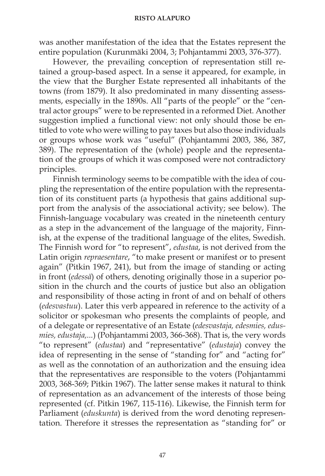was another manifestation of the idea that the Estates represent the entire population (Kurunmäki 2004, 3; Pohjantammi 2003, 376-377).

However, the prevailing conception of representation still retained a group-based aspect. In a sense it appeared, for example, in the view that the Burgher Estate represented all inhabitants of the towns (from 1879). It also predominated in many dissenting assessments, especially in the 1890s. All "parts of the people" or the "central actor groups" were to be represented in a reformed Diet. Another suggestion implied a functional view: not only should those be entitled to vote who were willing to pay taxes but also those individuals or groups whose work was "useful" (Pohjantammi 2003, 386, 387, 389). The representation of the (whole) people and the representation of the groups of which it was composed were not contradictory principles.

Finnish terminology seems to be compatible with the idea of coupling the representation of the entire population with the representation of its constituent parts (a hypothesis that gains additional support from the analysis of the associational activity; see below). The Finnish-language vocabulary was created in the nineteenth century as a step in the advancement of the language of the majority, Finnish, at the expense of the traditional language of the elites, Swedish. The Finnish word for "to represent", *edustaa*, is not derived from the Latin origin *repraesentare*, "to make present or manifest or to present again" (Pitkin 1967, 241), but from the image of standing or acting in front (*edessä*) of others, denoting originally those in a superior position in the church and the courts of justice but also an obligation and responsibility of those acting in front of and on behalf of others (*edesvastuu*). Later this verb appeared in reference to the activity of a solicitor or spokesman who presents the complaints of people, and of a delegate or representative of an Estate (*edesvastaja, edesmies, edusmies, edustaja,...*) (Pohjantammi 2003, 366-368). That is, the very words "to represent" (*edustaa*) and "representative" (*edustaja*) convey the idea of representing in the sense of "standing for" and "acting for" as well as the connotation of an authorization and the ensuing idea that the representatives are responsible to the voters (Pohjantammi 2003, 368-369; Pitkin 1967). The latter sense makes it natural to think of representation as an advancement of the interests of those being represented (cf. Pitkin 1967, 115-116). Likewise, the Finnish term for Parliament (*eduskunta*) is derived from the word denoting representation. Therefore it stresses the representation as "standing for" or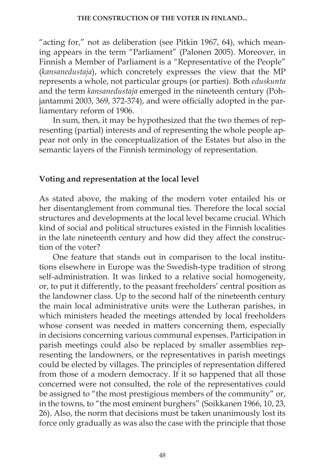"acting for," not as deliberation (see Pitkin 1967, 64), which meaning appears in the term "Parliament" (Palonen 2005). Moreover, in Finnish a Member of Parliament is a "Representative of the People" (*kansanedustaja*), which concretely expresses the view that the MP represents a whole, not particular groups (or parties). Both *eduskunta*  and the term *kansanedustaja* emerged in the nineteenth century (Pohjantammi 2003, 369, 372-374), and were officially adopted in the parliamentary reform of 1906.

In sum, then, it may be hypothesized that the two themes of representing (partial) interests and of representing the whole people appear not only in the conceptualization of the Estates but also in the semantic layers of the Finnish terminology of representation.

# **Voting and representation at the local level**

As stated above, the making of the modern voter entailed his or her disentanglement from communal ties. Therefore the local social structures and developments at the local level became crucial. Which kind of social and political structures existed in the Finnish localities in the late nineteenth century and how did they affect the construction of the voter?

One feature that stands out in comparison to the local institutions elsewhere in Europe was the Swedish-type tradition of strong self-administration. It was linked to a relative social homogeneity, or, to put it differently, to the peasant freeholders' central position as the landowner class. Up to the second half of the nineteenth century the main local administrative units were the Lutheran parishes, in which ministers headed the meetings attended by local freeholders whose consent was needed in matters concerning them, especially in decisions concerning various communal expenses. Participation in parish meetings could also be replaced by smaller assemblies representing the landowners, or the representatives in parish meetings could be elected by villages. The principles of representation differed from those of a modern democracy. If it so happened that all those concerned were not consulted, the role of the representatives could be assigned to "the most prestigious members of the community" or, in the towns, to "the most eminent burghers" (Soikkanen 1966, 10, 23, 26). Also, the norm that decisions must be taken unanimously lost its force only gradually as was also the case with the principle that those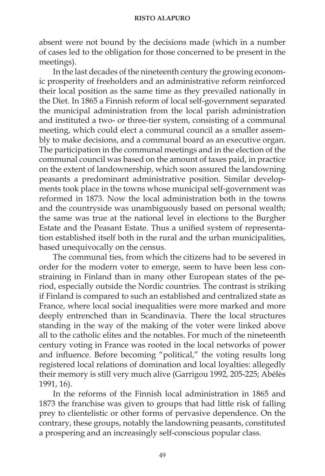absent were not bound by the decisions made (which in a number of cases led to the obligation for those concerned to be present in the meetings).

In the last decades of the nineteenth century the growing economic prosperity of freeholders and an administrative reform reinforced their local position as the same time as they prevailed nationally in the Diet. In 1865 a Finnish reform of local self-government separated the municipal administration from the local parish administration and instituted a two- or three-tier system, consisting of a communal meeting, which could elect a communal council as a smaller assembly to make decisions, and a communal board as an executive organ. The participation in the communal meetings and in the election of the communal council was based on the amount of taxes paid, in practice on the extent of landownership, which soon assured the landowning peasants a predominant administrative position. Similar developments took place in the towns whose municipal self-government was reformed in 1873. Now the local administration both in the towns and the countryside was unambiguously based on personal wealth; the same was true at the national level in elections to the Burgher Estate and the Peasant Estate. Thus a unified system of representation established itself both in the rural and the urban municipalities, based unequivocally on the census.

The communal ties, from which the citizens had to be severed in order for the modern voter to emerge, seem to have been less constraining in Finland than in many other European states of the period, especially outside the Nordic countries. The contrast is striking if Finland is compared to such an established and centralized state as France, where local social inequalities were more marked and more deeply entrenched than in Scandinavia. There the local structures standing in the way of the making of the voter were linked above all to the catholic elites and the notables. For much of the nineteenth century voting in France was rooted in the local networks of power and influence. Before becoming "political," the voting results long registered local relations of domination and local loyalties: allegedly their memory is still very much alive (Garrigou 1992, 205-225; Abélès 1991, 16).

In the reforms of the Finnish local administration in 1865 and 1873 the franchise was given to groups that had little risk of falling prey to clientelistic or other forms of pervasive dependence. On the contrary, these groups, notably the landowning peasants, constituted a prospering and an increasingly self-conscious popular class.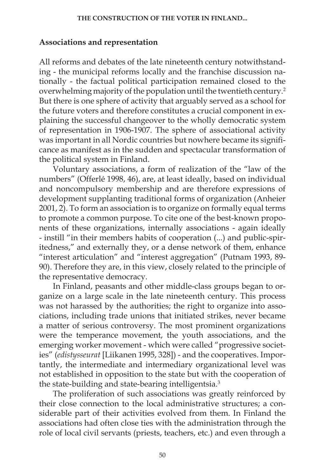# **Associations and representation**

All reforms and debates of the late nineteenth century notwithstanding - the municipal reforms locally and the franchise discussion nationally - the factual political participation remained closed to the overwhelming majority of the population until the twentieth century.2 But there is one sphere of activity that arguably served as a school for the future voters and therefore constitutes a crucial component in explaining the successful changeover to the wholly democratic system of representation in 1906-1907. The sphere of associational activity was important in all Nordic countries but nowhere became its significance as manifest as in the sudden and spectacular transformation of the political system in Finland.

Voluntary associations, a form of realization of the "law of the numbers" (Offerlé 1998, 46), are, at least ideally, based on individual and noncompulsory membership and are therefore expressions of development supplanting traditional forms of organization (Anheier 2001, 2). To form an association is to organize on formally equal terms to promote a common purpose. To cite one of the best-known proponents of these organizations, internally associations - again ideally - instill "in their members habits of cooperation (...) and public-spiritedness," and externally they, or a dense network of them, enhance "interest articulation" and "interest aggregation" (Putnam 1993, 89- 90). Therefore they are, in this view, closely related to the principle of the representative democracy.

In Finland, peasants and other middle-class groups began to organize on a large scale in the late nineteenth century. This process was not harassed by the authorities; the right to organize into associations, including trade unions that initiated strikes, never became a matter of serious controversy. The most prominent organizations were the temperance movement, the youth associations, and the emerging worker movement - which were called "progressive societies" (*edistysseurat* [Liikanen 1995, 328]) - and the cooperatives. Importantly, the intermediate and intermediary organizational level was not established in opposition to the state but with the cooperation of the state-building and state-bearing intelligentsia.3

The proliferation of such associations was greatly reinforced by their close connection to the local administrative structures; a considerable part of their activities evolved from them. In Finland the associations had often close ties with the administration through the role of local civil servants (priests, teachers, etc.) and even through a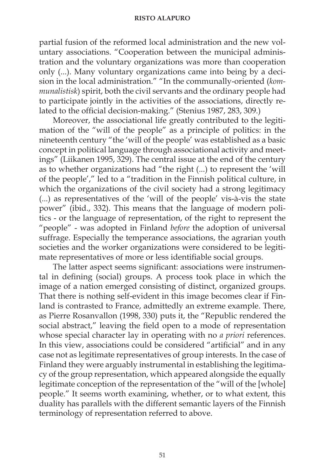partial fusion of the reformed local administration and the new voluntary associations. "Cooperation between the municipal administration and the voluntary organizations was more than cooperation only (...). Many voluntary organizations came into being by a decision in the local administration." "In the communally-oriented (*kommunalistisk*) spirit, both the civil servants and the ordinary people had to participate jointly in the activities of the associations, directly related to the official decision-making." (Stenius 1987, 283, 309.)

Moreover, the associational life greatly contributed to the legitimation of the "will of the people" as a principle of politics: in the nineteenth century "the 'will of the people' was established as a basic concept in political language through associational activity and meetings" (Liikanen 1995, 329). The central issue at the end of the century as to whether organizations had "the right (...) to represent the 'will of the people'," led to a "tradition in the Finnish political culture, in which the organizations of the civil society had a strong legitimacy (...) as representatives of the 'will of the people' vis-à-vis the state power" (ibid., 332). This means that the language of modern politics - or the language of representation, of the right to represent the "people" - was adopted in Finland *before* the adoption of universal suffrage. Especially the temperance associations, the agrarian youth societies and the worker organizations were considered to be legitimate representatives of more or less identifiable social groups.

The latter aspect seems significant: associations were instrumental in defining (social) groups. A process took place in which the image of a nation emerged consisting of distinct, organized groups. That there is nothing self-evident in this image becomes clear if Finland is contrasted to France, admittedly an extreme example. There, as Pierre Rosanvallon (1998, 330) puts it, the "Republic rendered the social abstract," leaving the field open to a mode of representation whose special character lay in operating with no *a priori* references. In this view, associations could be considered "artificial" and in any case not as legitimate representatives of group interests. In the case of Finland they were arguably instrumental in establishing the legitimacy of the group representation, which appeared alongside the equally legitimate conception of the representation of the "will of the [whole] people." It seems worth examining, whether, or to what extent, this duality has parallels with the different semantic layers of the Finnish terminology of representation referred to above.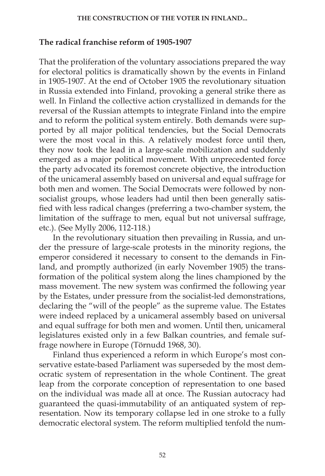### **THE CONSTRUCTION OF THE VOTER IN FINLAND...**

### **The radical franchise reform of 1905-1907**

That the proliferation of the voluntary associations prepared the way for electoral politics is dramatically shown by the events in Finland in 1905-1907. At the end of October 1905 the revolutionary situation in Russia extended into Finland, provoking a general strike there as well. In Finland the collective action crystallized in demands for the reversal of the Russian attempts to integrate Finland into the empire and to reform the political system entirely. Both demands were supported by all major political tendencies, but the Social Democrats were the most vocal in this. A relatively modest force until then, they now took the lead in a large-scale mobilization and suddenly emerged as a major political movement. With unprecedented force the party advocated its foremost concrete objective, the introduction of the unicameral assembly based on universal and equal suffrage for both men and women. The Social Democrats were followed by nonsocialist groups, whose leaders had until then been generally satisfied with less radical changes (preferring a two-chamber system, the limitation of the suffrage to men, equal but not universal suffrage, etc.). (See Mylly 2006, 112-118.)

In the revolutionary situation then prevailing in Russia, and under the pressure of large-scale protests in the minority regions, the emperor considered it necessary to consent to the demands in Finland, and promptly authorized (in early November 1905) the transformation of the political system along the lines championed by the mass movement. The new system was confirmed the following year by the Estates, under pressure from the socialist-led demonstrations, declaring the "will of the people" as the supreme value. The Estates were indeed replaced by a unicameral assembly based on universal and equal suffrage for both men and women. Until then, unicameral legislatures existed only in a few Balkan countries, and female suffrage nowhere in Europe (Törnudd 1968, 30).

Finland thus experienced a reform in which Europe's most conservative estate-based Parliament was superseded by the most democratic system of representation in the whole Continent. The great leap from the corporate conception of representation to one based on the individual was made all at once. The Russian autocracy had guaranteed the quasi-immutability of an antiquated system of representation. Now its temporary collapse led in one stroke to a fully democratic electoral system. The reform multiplied tenfold the num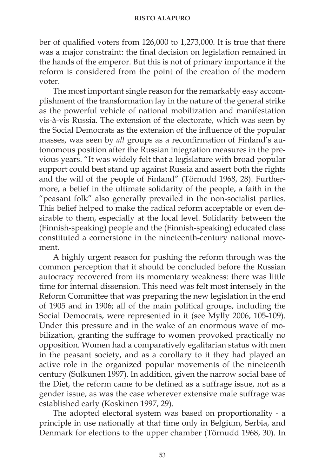ber of qualified voters from 126,000 to 1,273,000. It is true that there was a major constraint: the final decision on legislation remained in the hands of the emperor. But this is not of primary importance if the reform is considered from the point of the creation of the modern voter.

The most important single reason for the remarkably easy accomplishment of the transformation lay in the nature of the general strike as the powerful vehicle of national mobilization and manifestation vis-à-vis Russia. The extension of the electorate, which was seen by the Social Democrats as the extension of the influence of the popular masses, was seen by *all* groups as a reconfirmation of Finland's autonomous position after the Russian integration measures in the previous years. "It was widely felt that a legislature with broad popular support could best stand up against Russia and assert both the rights and the will of the people of Finland" (Törnudd 1968, 28). Furthermore, a belief in the ultimate solidarity of the people, a faith in the "peasant folk" also generally prevailed in the non-socialist parties. This belief helped to make the radical reform acceptable or even desirable to them, especially at the local level. Solidarity between the (Finnish-speaking) people and the (Finnish-speaking) educated class constituted a cornerstone in the nineteenth-century national movement.

A highly urgent reason for pushing the reform through was the common perception that it should be concluded before the Russian autocracy recovered from its momentary weakness: there was little time for internal dissension. This need was felt most intensely in the Reform Committee that was preparing the new legislation in the end of 1905 and in 1906; all of the main political groups, including the Social Democrats, were represented in it (see Mylly 2006, 105-109). Under this pressure and in the wake of an enormous wave of mobilization, granting the suffrage to women provoked practically no opposition. Women had a comparatively egalitarian status with men in the peasant society, and as a corollary to it they had played an active role in the organized popular movements of the nineteenth century (Sulkunen 1997). In addition, given the narrow social base of the Diet, the reform came to be defined as a suffrage issue, not as a gender issue, as was the case wherever extensive male suffrage was established early (Koskinen 1997, 29).

The adopted electoral system was based on proportionality - a principle in use nationally at that time only in Belgium, Serbia, and Denmark for elections to the upper chamber (Törnudd 1968, 30). In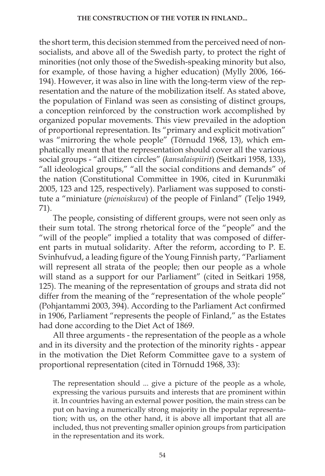the short term, this decision stemmed from the perceived need of nonsocialists, and above all of the Swedish party, to protect the right of minorities (not only those of the Swedish-speaking minority but also, for example, of those having a higher education) (Mylly 2006, 166- 194). However, it was also in line with the long-term view of the representation and the nature of the mobilization itself. As stated above, the population of Finland was seen as consisting of distinct groups, a conception reinforced by the construction work accomplished by organized popular movements. This view prevailed in the adoption of proportional representation. Its "primary and explicit motivation" was "mirroring the whole people" (Törnudd 1968, 13), which emphatically meant that the representation should cover all the various social groups - "all citizen circles" (*kansalaispiirit*) (Seitkari 1958, 133), "all ideological groups," "all the social conditions and demands" of the nation (Constitutional Committee in 1906, cited in Kurunmäki 2005, 123 and 125, respectively). Parliament was supposed to constitute a "miniature (*pienoiskuva*) of the people of Finland" (Teljo 1949, 71).

The people, consisting of different groups, were not seen only as their sum total. The strong rhetorical force of the "people" and the "will of the people" implied a totality that was composed of different parts in mutual solidarity. After the reform, according to P. E. Svinhufvud, a leading figure of the Young Finnish party, "Parliament will represent all strata of the people; then our people as a whole will stand as a support for our Parliament" (cited in Seitkari 1958, 125). The meaning of the representation of groups and strata did not differ from the meaning of the "representation of the whole people" (Pohjantammi 2003, 394). According to the Parliament Act confirmed in 1906, Parliament "represents the people of Finland," as the Estates had done according to the Diet Act of 1869.

All three arguments - the representation of the people as a whole and in its diversity and the protection of the minority rights - appear in the motivation the Diet Reform Committee gave to a system of proportional representation (cited in Törnudd 1968, 33):

The representation should ... give a picture of the people as a whole, expressing the various pursuits and interests that are prominent within it. In countries having an external power position, the main stress can be put on having a numerically strong majority in the popular representation; with us, on the other hand, it is above all important that all are included, thus not preventing smaller opinion groups from participation in the representation and its work.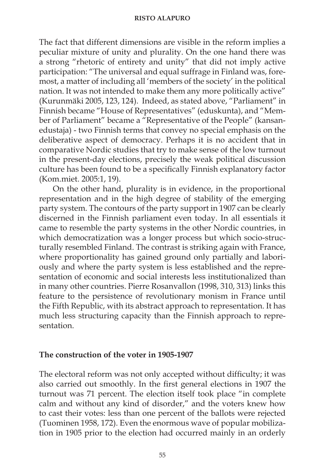The fact that different dimensions are visible in the reform implies a peculiar mixture of unity and plurality. On the one hand there was a strong "rhetoric of entirety and unity" that did not imply active participation: "The universal and equal suffrage in Finland was, foremost, a matter of including all 'members of the society' in the political nation. It was not intended to make them any more politically active" (Kurunmäki 2005, 123, 124). Indeed, as stated above, "Parliament" in Finnish became "House of Representatives" (eduskunta), and "Member of Parliament" became a "Representative of the People" (kansanedustaja) - two Finnish terms that convey no special emphasis on the deliberative aspect of democracy. Perhaps it is no accident that in comparative Nordic studies that try to make sense of the low turnout in the present-day elections, precisely the weak political discussion culture has been found to be a specifically Finnish explanatory factor (Kom.miet. 2005:1, 19).

On the other hand, plurality is in evidence, in the proportional representation and in the high degree of stability of the emerging party system. The contours of the party support in 1907 can be clearly discerned in the Finnish parliament even today. In all essentials it came to resemble the party systems in the other Nordic countries, in which democratization was a longer process but which socio-structurally resembled Finland. The contrast is striking again with France, where proportionality has gained ground only partially and laboriously and where the party system is less established and the representation of economic and social interests less institutionalized than in many other countries. Pierre Rosanvallon (1998, 310, 313) links this feature to the persistence of revolutionary monism in France until the Fifth Republic, with its abstract approach to representation. It has much less structuring capacity than the Finnish approach to representation.

### **The construction of the voter in 1905-1907**

The electoral reform was not only accepted without difficulty; it was also carried out smoothly. In the first general elections in 1907 the turnout was 71 percent. The election itself took place "in complete calm and without any kind of disorder," and the voters knew how to cast their votes: less than one percent of the ballots were rejected (Tuominen 1958, 172). Even the enormous wave of popular mobilization in 1905 prior to the election had occurred mainly in an orderly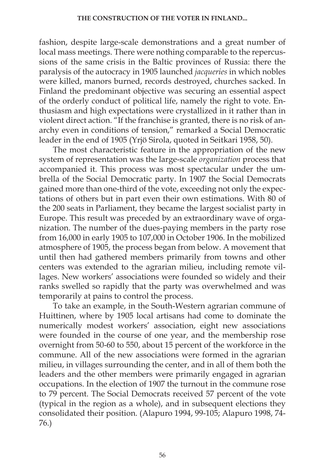fashion, despite large-scale demonstrations and a great number of local mass meetings. There were nothing comparable to the repercussions of the same crisis in the Baltic provinces of Russia: there the paralysis of the autocracy in 1905 launched *jacqueries* in which nobles were killed, manors burned, records destroyed, churches sacked. In Finland the predominant objective was securing an essential aspect of the orderly conduct of political life, namely the right to vote. Enthusiasm and high expectations were crystallized in it rather than in violent direct action. "If the franchise is granted, there is no risk of anarchy even in conditions of tension," remarked a Social Democratic leader in the end of 1905 (Yrjö Sirola, quoted in Seitkari 1958, 50).

The most characteristic feature in the appropriation of the new system of representation was the large-scale *organization* process that accompanied it. This process was most spectacular under the umbrella of the Social Democratic party. In 1907 the Social Democrats gained more than one-third of the vote, exceeding not only the expectations of others but in part even their own estimations. With 80 of the 200 seats in Parliament, they became the largest socialist party in Europe. This result was preceded by an extraordinary wave of organization. The number of the dues-paying members in the party rose from 16,000 in early 1905 to 107,000 in October 1906. In the mobilized atmosphere of 1905, the process began from below. A movement that until then had gathered members primarily from towns and other centers was extended to the agrarian milieu, including remote villages. New workers' associations were founded so widely and their ranks swelled so rapidly that the party was overwhelmed and was temporarily at pains to control the process.

To take an example, in the South-Western agrarian commune of Huittinen, where by 1905 local artisans had come to dominate the numerically modest workers' association, eight new associations were founded in the course of one year, and the membership rose overnight from 50-60 to 550, about 15 percent of the workforce in the commune. All of the new associations were formed in the agrarian milieu, in villages surrounding the center, and in all of them both the leaders and the other members were primarily engaged in agrarian occupations. In the election of 1907 the turnout in the commune rose to 79 percent. The Social Democrats received 57 percent of the vote (typical in the region as a whole), and in subsequent elections they consolidated their position. (Alapuro 1994, 99-105; Alapuro 1998, 74- 76.)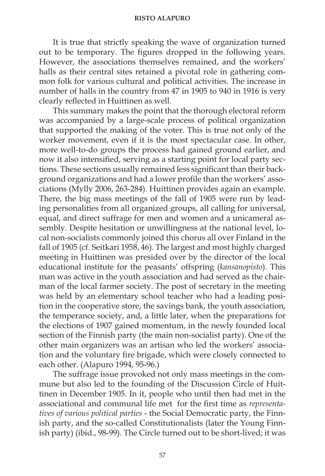It is true that strictly speaking the wave of organization turned out to be temporary. The figures dropped in the following years. However, the associations themselves remained, and the workers' halls as their central sites retained a pivotal role in gathering common folk for various cultural and political activities. The increase in number of halls in the country from 47 in 1905 to 940 in 1916 is very clearly reflected in Huittinen as well.

This summary makes the point that the thorough electoral reform was accompanied by a large-scale process of political organization that supported the making of the voter. This is true not only of the worker movement, even if it is the most spectacular case. In other, more well-to-do groups the process had gained ground earlier, and now it also intensified, serving as a starting point for local party sections. These sections usually remained less significant than their background organizations and had a lower profile than the workers' associations (Mylly 2006, 263-284). Huittinen provides again an example. There, the big mass meetings of the fall of 1905 were run by leading personalities from all organized groups, all calling for universal, equal, and direct suffrage for men and women and a unicameral assembly. Despite hesitation or unwillingness at the national level, local non-socialists commonly joined this chorus all over Finland in the fall of 1905 (cf. Seitkari 1958, 46). The largest and most highly charged meeting in Huittinen was presided over by the director of the local educational institute for the peasants' offspring (*kansanopisto*). This man was active in the youth association and had served as the chairman of the local farmer society. The post of secretary in the meeting was held by an elementary school teacher who had a leading position in the cooperative store, the savings bank, the youth association, the temperance society, and, a little later, when the preparations for the elections of 1907 gained momentum, in the newly founded local section of the Finnish party (the main non-socialist party). One of the other main organizers was an artisan who led the workers' association and the voluntary fire brigade, which were closely connected to each other. (Alapuro 1994, 95-96.)

The suffrage issue provoked not only mass meetings in the commune but also led to the founding of the Discussion Circle of Huittinen in December 1905. In it, people who until then had met in the associational and communal life met for the first time as *representatives of various political parties* - the Social Democratic party, the Finnish party, and the so-called Constitutionalists (later the Young Finnish party) (ibid., 98-99). The Circle turned out to be short-lived; it was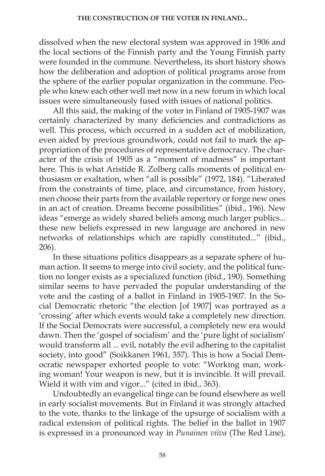dissolved when the new electoral system was approved in 1906 and the local sections of the Finnish party and the Young Finnish party were founded in the commune. Nevertheless, its short history shows how the deliberation and adoption of political programs arose from the sphere of the earlier popular organization in the commune. People who knew each other well met now in a new forum in which local issues were simultaneously fused with issues of national politics.

All this said, the making of the voter in Finland of 1905-1907 was certainly characterized by many deficiencies and contradictions as well. This process, which occurred in a sudden act of mobilization, even aided by previous groundwork, could not fail to mark the appropriation of the procedures of representative democracy. The character of the crisis of 1905 as a "moment of madness" is important here. This is what Aristide R. Zolberg calls moments of political enthusiasm or exaltation, when "all is possible" (1972, 184). "Liberated from the constraints of time, place, and circumstance, from history, men choose their parts from the available repertory or forge new ones in an act of creation. Dreams become possibilities" (ibid., 196). New ideas "emerge as widely shared beliefs among much larger publics... these new beliefs expressed in new language are anchored in new networks of relationships which are rapidly constituted..." (ibid., 206).

In these situations politics disappears as a separate sphere of human action. It seems to merge into civil society, and the political function no longer exists as a specialized function (ibid., 190). Something similar seems to have pervaded the popular understanding of the vote and the casting of a ballot in Finland in 1905-1907. In the Social Democratic rhetoric "the election [of 1907] was portrayed as a 'crossing' after which events would take a completely new direction. If the Social Democrats were successful, a completely new era would dawn. Then the 'gospel of socialism' and the 'pure light of socialism' would transform all ... evil, notably the evil adhering to the capitalist society, into good" (Soikkanen 1961, 357). This is how a Social Democratic newspaper exhorted people to vote: "Working man, working woman! Your weapon is new, but it is invincible. It will prevail. Wield it with vim and vigor..." (cited in ibid., 363).

Undoubtedly an evangelical tinge can be found elsewhere as well in early socialist movements. But in Finland it was strongly attached to the vote, thanks to the linkage of the upsurge of socialism with a radical extension of political rights. The belief in the ballot in 1907 is expressed in a pronounced way in *Punainen viiva* (The Red Line),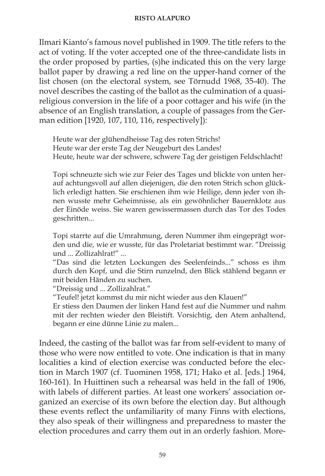Ilmari Kianto's famous novel published in 1909. The title refers to the act of voting. If the voter accepted one of the three-candidate lists in the order proposed by parties, (s)he indicated this on the very large ballot paper by drawing a red line on the upper-hand corner of the list chosen (on the electoral system, see Törnudd 1968, 35-40). The novel describes the casting of the ballot as the culmination of a quasireligious conversion in the life of a poor cottager and his wife (in the absence of an English translation, a couple of passages from the German edition [1920, 107, 110, 116, respectively]):

Heute war der glühendheisse Tag des roten Strichs! Heute war der erste Tag der Neugeburt des Landes! Heute, heute war der schwere, schwere Tag der geistigen Feldschlacht!

Topi schneuzte sich wie zur Feier des Tages und blickte von unten herauf achtungsvoll auf allen diejenigen, die den roten Strich schon glücklich erledigt hatten. Sie erschienen ihm wie Heilige, denn jeder von ihnen wusste mehr Geheimnisse, als ein gewöhnlicher Bauernklotz aus der Einöde weiss. Sie waren gewissermassen durch das Tor des Todes geschritten...

Topi starrte auf die Umrahmung, deren Nummer ihm eingeprägt worden und die, wie er wusste, für das Proletariat bestimmt war. "Dreissig und ... Zollizahlrat!" ...

"Das sind die letzten Lockungen des Seelenfeinds..." schoss es ihm durch den Kopf, und die Stirn runzelnd, den Blick stählend begann er mit beiden Händen zu suchen.

"Dreissig und ... Zollizahlrat."

"Teufel! jetzt kommst du mir nicht wieder aus den Klauen!"

Er stiess den Daumen der linken Hand fest auf die Nummer und nahm mit der rechten wieder den Bleistift. Vorsichtig, den Atem anhaltend, begann er eine dünne Linie zu malen...

Indeed, the casting of the ballot was far from self-evident to many of those who were now entitled to vote. One indication is that in many localities a kind of election exercise was conducted before the election in March 1907 (cf. Tuominen 1958, 171; Hako et al. [eds.] 1964, 160-161). In Huittinen such a rehearsal was held in the fall of 1906, with labels of different parties. At least one workers' association organized an exercise of its own before the election day. But although these events reflect the unfamiliarity of many Finns with elections, they also speak of their willingness and preparedness to master the election procedures and carry them out in an orderly fashion. More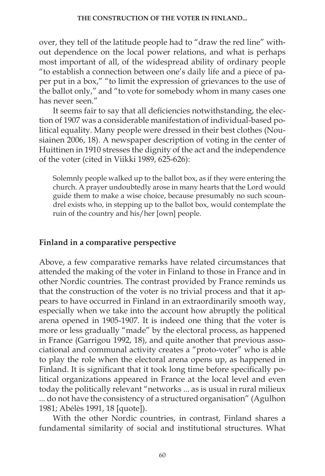over, they tell of the latitude people had to "draw the red line" without dependence on the local power relations, and what is perhaps most important of all, of the widespread ability of ordinary people "to establish a connection between one's daily life and a piece of paper put in a box," "to limit the expression of grievances to the use of the ballot only," and "to vote for somebody whom in many cases one has never seen."

It seems fair to say that all deficiencies notwithstanding, the election of 1907 was a considerable manifestation of individual-based political equality. Many people were dressed in their best clothes (Nousiainen 2006, 18). A newspaper description of voting in the center of Huittinen in 1910 stresses the dignity of the act and the independence of the voter (cited in Viikki 1989, 625-626):

Solemnly people walked up to the ballot box, as if they were entering the church. A prayer undoubtedly arose in many hearts that the Lord would guide them to make a wise choice, because presumably no such scoundrel exists who, in stepping up to the ballot box, would contemplate the ruin of the country and his/her [own] people.

### **Finland in a comparative perspective**

Above, a few comparative remarks have related circumstances that attended the making of the voter in Finland to those in France and in other Nordic countries. The contrast provided by France reminds us that the construction of the voter is no trivial process and that it appears to have occurred in Finland in an extraordinarily smooth way, especially when we take into the account how abruptly the political arena opened in 1905-1907. It is indeed one thing that the voter is more or less gradually "made" by the electoral process, as happened in France (Garrigou 1992, 18), and quite another that previous associational and communal activity creates a "proto-voter" who is able to play the role when the electoral arena opens up, as happened in Finland. It is significant that it took long time before specifically political organizations appeared in France at the local level and even today the politically relevant "networks ... as is usual in rural milieux ... do not have the consistency of a structured organisation" (Agulhon 1981; Abélès 1991, 18 [quote]).

With the other Nordic countries, in contrast, Finland shares a fundamental similarity of social and institutional structures. What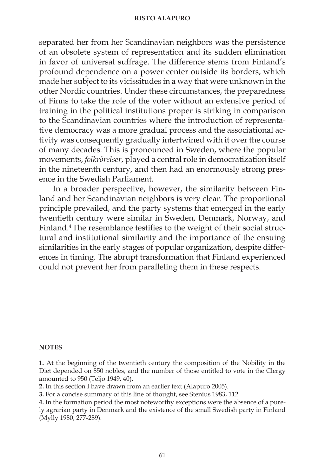separated her from her Scandinavian neighbors was the persistence of an obsolete system of representation and its sudden elimination in favor of universal suffrage. The difference stems from Finland's profound dependence on a power center outside its borders, which made her subject to its vicissitudes in a way that were unknown in the other Nordic countries. Under these circumstances, the preparedness of Finns to take the role of the voter without an extensive period of training in the political institutions proper is striking in comparison to the Scandinavian countries where the introduction of representative democracy was a more gradual process and the associational activity was consequently gradually intertwined with it over the course of many decades. This is pronounced in Sweden, where the popular movements, *folkrörelser*, played a central role in democratization itself in the nineteenth century, and then had an enormously strong presence in the Swedish Parliament.

In a broader perspective, however, the similarity between Finland and her Scandinavian neighbors is very clear. The proportional principle prevailed, and the party systems that emerged in the early twentieth century were similar in Sweden, Denmark, Norway, and Finland.4 The resemblance testifies to the weight of their social structural and institutional similarity and the importance of the ensuing similarities in the early stages of popular organization, despite differences in timing. The abrupt transformation that Finland experienced could not prevent her from paralleling them in these respects.

#### **NOTES**

**1.** At the beginning of the twentieth century the composition of the Nobility in the Diet depended on 850 nobles, and the number of those entitled to vote in the Clergy amounted to 950 (Teljo 1949, 40).

**2.** In this section I have drawn from an earlier text (Alapuro 2005).

**3.** For a concise summary of this line of thought, see Stenius 1983, 112.

**4.** In the formation period the most noteworthy exceptions were the absence of a purely agrarian party in Denmark and the existence of the small Swedish party in Finland (Mylly 1980, 277-289).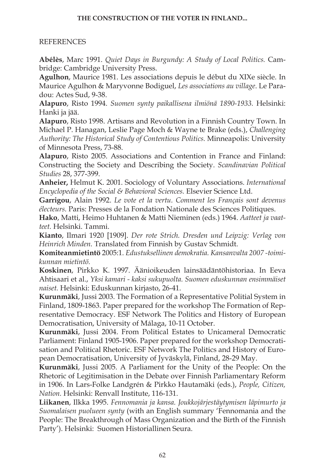### **THE CONSTRUCTION OF THE VOTER IN FINLAND...**

### REFERENCES

**Abélès**, Marc 1991. *Quiet Days in Burgundy: A Study of Local Politics.* Cambridge: Cambridge University Press.

**Agulhon**, Maurice 1981. Les associations depuis le début du XIXe siècle. In Maurice Agulhon & Maryvonne Bodiguel, *Les associations au village*. Le Paradou: Actes Sud, 9-38.

**Alapuro**, Risto 1994. *Suomen synty paikallisena ilmiönä 1890-1933.* Helsinki: Hanki ja jää.

**Alapuro**, Risto 1998. Artisans and Revolution in a Finnish Country Town. In Michael P. Hanagan, Leslie Page Moch & Wayne te Brake (eds.), *Challenging Authority: The Historical Study of Contentious Politics.* Minneapolis: University of Minnesota Press, 73-88.

**Alapuro**, Risto 2005. Associations and Contention in France and Finland: Constructing the Society and Describing the Society. *Scandinavian Political Studies* 28, 377-399.

**Anheier,** Helmut K. 2001. Sociology of Voluntary Associations. *International Encyclopedia of the Social & Behavioral Sciences.* Elsevier Science Ltd.

**Garrigou**, Alain 1992. *Le vote et la vertu. Comment les Français sont devenus électeurs.* Paris: Presses de la Fondation Nationale des Sciences Politiques.

**Hako**, Matti, Heimo Huhtanen & Matti Nieminen (eds.) 1964. *Aatteet ja vaatteet.* Helsinki. Tammi.

**Kianto**, Ilmari 1920 [1909]. *Der rote Strich. Dresden und Leipzig: Verlag von Heinrich Minden.* Translated from Finnish by Gustav Schmidt.

**Komiteanmietintö** 2005:1. *Edustuksellinen demokratia. Kansanvalta 2007 -toimikunnan mietintö.*

**Koskinen**, Pirkko K. 1997. Äänioikeuden lainsäädäntöhistoriaa. In Eeva Ahtisaari et al., *Yksi kamari - kaksi sukupuolta. Suomen eduskunnan ensimmäiset naiset.* Helsinki: Eduskunnan kirjasto, 26-41.

**Kurunmäki**, Jussi 2003. The Formation of a Representative Politial System in Finland, 1809-1863. Paper prepared for the workshop The Formation of Representative Democracy. ESF Network The Politics and History of European Democratisation, University of Málaga, 10-11 October.

**Kurunmäki**, Jussi 2004. From Political Estates to Unicameral Democratic Parliament: Finland 1905-1906. Paper prepared for the workshop Democratisation and Political Rhetoric. ESF Network The Politics and History of European Democratisation, University of Jyväskylä, Finland, 28-29 May.

**Kurunmäki**, Jussi 2005. A Parliament for the Unity of the People: On the Rhetoric of Legitimisation in the Debate over Finnish Parliamentary Reform in 1906. In Lars-Folke Landgrén & Pirkko Hautamäki (eds.), *People, Citizen, Nation.* Helsinki: Renvall Institute, 116-131.

**Liikanen**, Ilkka 1995. *Fennomania ja kansa. Joukkojärjestäytymisen läpimurto ja Suomalaisen puolueen synty* (with an English summary 'Fennomania and the People: The Breakthrough of Mass Organization and the Birth of the Finnish Party'). Helsinki: Suomen Historiallinen Seura.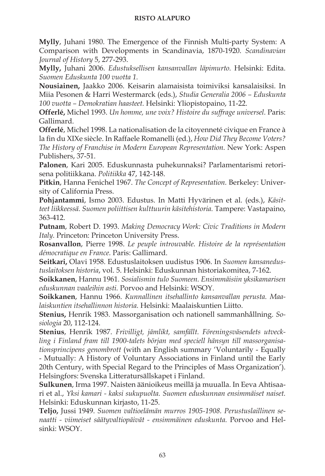**Mylly**, Juhani 1980. The Emergence of the Finnish Multi-party System: A Comparison with Developments in Scandinavia, 1870-1920. *Scandinavian Journal of History* 5, 277-293.

**Mylly,** Juhani 2006. *Edustuksellisen kansanvallan läpimurto.* Helsinki: Edita. *Suomen Eduskunta 100 vuotta 1.*

**Nousiainen,** Jaakko 2006. Keisarin alamaisista toimiviksi kansalaisiksi. In Miia Pesonen & Harri Westermarck (eds.), *Studia Generalia 2006 – Eduskunta 100 vuotta – Demokratian haasteet.* Helsinki: Yliopistopaino, 11-22.

**Offerlé,** Michel 1993. *Un homme, une voix? Histoire du suffrage universel.* Paris: Gallimard.

**Offerlé**, Michel 1998. La nationalisation de la citoyenneté civique en France à la fin du XIXe siècle. In Raffaele Romanelli (ed.), *How Did They Become Voters? The History of Franchise in Modern European Representation.* New York: Aspen Publishers, 37-51.

**Palonen**, Kari 2005. Eduskunnasta puhekunnaksi? Parlamentarismi retorisena politiikkana. *Politiikka* 47, 142-148.

**Pitkin**, Hanna Fenichel 1967. *The Concept of Representation.* Berkeley: University of California Press.

**Pohjantammi**, Ismo 2003. Edustus. In Matti Hyvärinen et al. (eds.), *Käsitteet liikkeessä. Suomen poliittisen kulttuurin käsitehistoria.* Tampere: Vastapaino, 363-412.

**Putnam**, Robert D. 1993. *Making Democracy Work: Civic Traditions in Modern Italy.* Princeton: Princeton University Press.

**Rosanvallon**, Pierre 1998. *Le peuple introuvable. Histoire de la représentation démocratique en France.* Paris: Gallimard.

**Seitkari,** Olavi 1958. Edustuslaitoksen uudistus 1906. In *Suomen kansanedustuslaitoksen historia*, vol. 5. Helsinki: Eduskunnan historiakomitea, 7-162.

**Soikkanen**, Hannu 1961. *Sosialismin tulo Suomeen. Ensimmäisiin yksikamarisen eduskunnan vaaleihin asti.* Porvoo and Helsinki: WSOY.

**Soikkanen**, Hannu 1966. *Kunnallinen itsehallinto kansanvallan perusta. Maalaiskuntien itsehallinnon historia.* Helsinki: Maalaiskuntien Liitto.

**Stenius,** Henrik 1983. Massorganisation och nationell sammanhållning. *Sosiologia* 20, 112-124.

**Stenius**, Henrik 1987. *Frivilligt, jämlikt, samfällt. Föreningsväsendets utveckling i Finland fram till 1900-talets början med speciell hänsyn till massorganisationsprincipens genombrott* (with an English summary 'Voluntarily - Equally - Mutually: A History of Voluntary Associations in Finland until the Early 20th Century, with Special Regard to the Principles of Mass Organization'). Helsingfors: Svenska Litteratursällskapet i Finland.

**Sulkunen**, Irma 1997. Naisten äänioikeus meillä ja muualla. In Eeva Ahtisaari et al., *Yksi kamari - kaksi sukupuolta. Suomen eduskunnan ensimmäiset naiset.* Helsinki: Eduskunnan kirjasto, 11-25.

**Teljo,** Jussi 1949. *Suomen valtioelämän murros 1905-1908. Perustuslaillinen senaatti - viimeiset säätyvaltiopäivät - ensimmäinen eduskunta.* Porvoo and Helsinki: WSOY.